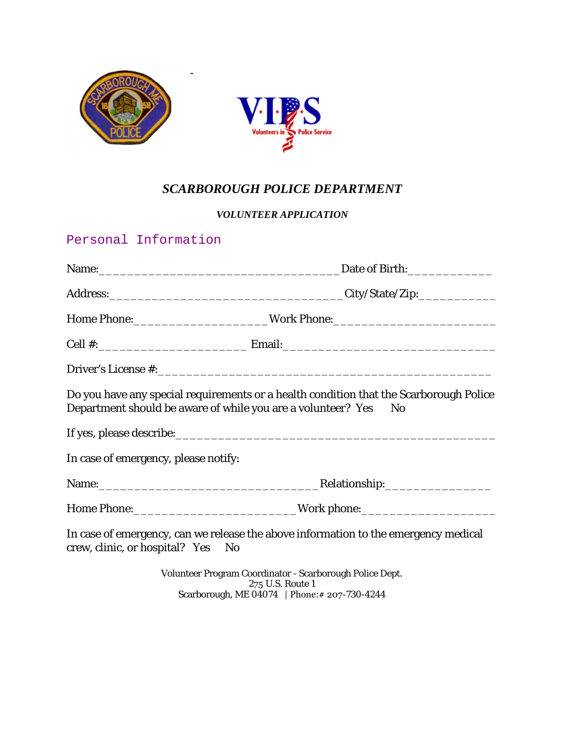

## *SCARBOROUGH POLICE DEPARTMENT*

vice

## *VOLUNTEER APPLICATION*

## Personal Information

|                                                                 | Home Phone:__________________________Work Phone:________________________________       |  |
|-----------------------------------------------------------------|----------------------------------------------------------------------------------------|--|
|                                                                 |                                                                                        |  |
|                                                                 |                                                                                        |  |
| Department should be aware of while you are a volunteer? Yes No | Do you have any special requirements or a health condition that the Scarborough Police |  |
|                                                                 |                                                                                        |  |
| In case of emergency, please notify:                            |                                                                                        |  |
|                                                                 | Relationship:____________________                                                      |  |
|                                                                 | Home Phone:___________________________________Work phone:_______________________       |  |
| crew, clinic, or hospital? Yes No                               | In case of emergency, can we release the above information to the emergency medical    |  |

Volunteer Program Coordinator - Scarborough Police Dept. 275 U.S. Route 1 Scarborough, ME 04074 | Phone:# 207-730-4244